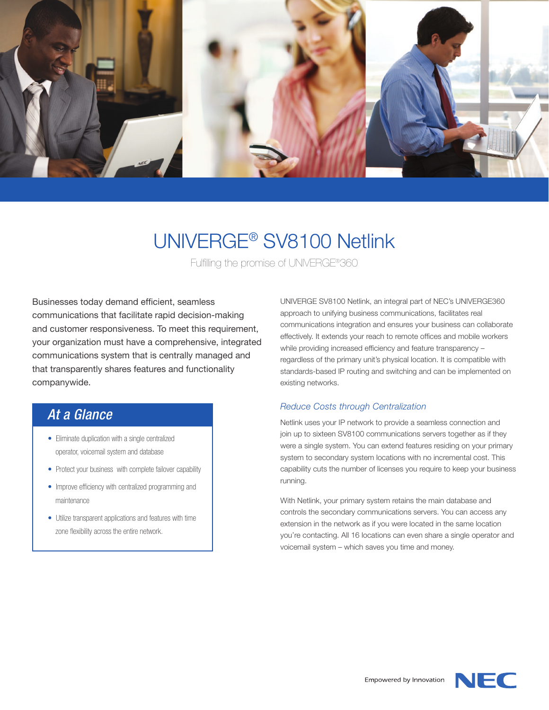

# UNIVERGE® SV8100 Netlink

Fulfilling the promise of UNIVERGE®360

Businesses today demand efficient, seamless communications that facilitate rapid decision-making and customer responsiveness. To meet this requirement, your organization must have a comprehensive, integrated communications system that is centrally managed and that transparently shares features and functionality companywide.

## *At a Glance*

- Eliminate duplication with a single centralized operator, voicemail system and database
- Protect your business with complete failover capability
- Improve efficiency with centralized programming and maintenance
- Utilize transparent applications and features with time zone flexibility across the entire network.

UNIVERGE SV8100 Netlink, an integral part of NEC's UNIVERGE360 approach to unifying business communications, facilitates real communications integration and ensures your business can collaborate effectively. It extends your reach to remote offices and mobile workers while providing increased efficiency and feature transparency – regardless of the primary unit's physical location. It is compatible with standards-based IP routing and switching and can be implemented on existing networks.

#### *Reduce Costs through Centralization*

Netlink uses your IP network to provide a seamless connection and join up to sixteen SV8100 communications servers together as if they were a single system. You can extend features residing on your primary system to secondary system locations with no incremental cost. This capability cuts the number of licenses you require to keep your business running.

With Netlink, your primary system retains the main database and controls the secondary communications servers. You can access any extension in the network as if you were located in the same location you're contacting. All 16 locations can even share a single operator and voicemail system – which saves you time and money.

Empowered by Innovation